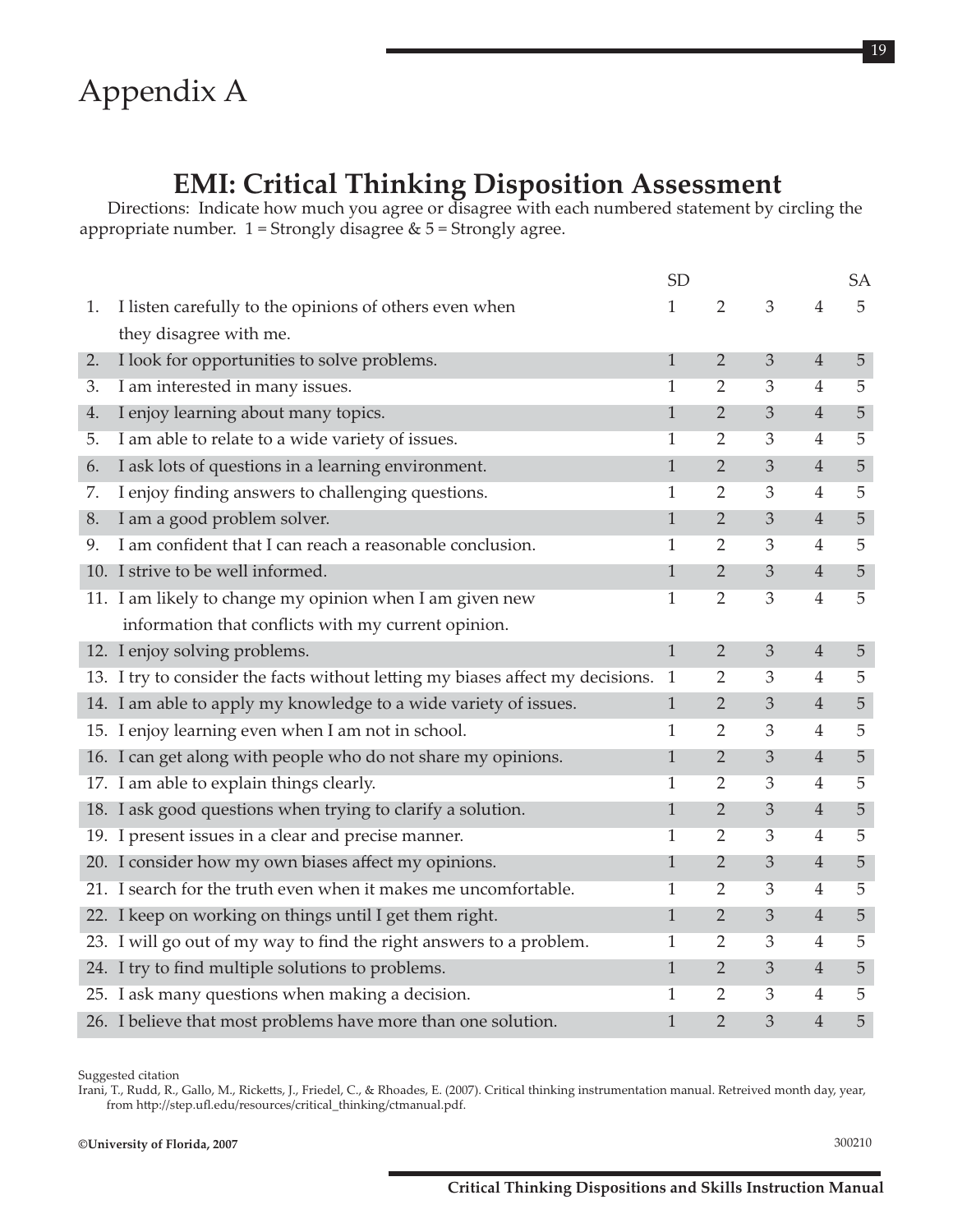## **EMI: Critical Thinking Disposition Assessment**

Directions: Indicate how much you agree or disagree with each numbered statement by circling the appropriate number.  $1$  = Strongly disagree &  $5$  = Strongly agree.

|    |                                                                                | <b>SD</b>    |                |                |                | <b>SA</b>      |
|----|--------------------------------------------------------------------------------|--------------|----------------|----------------|----------------|----------------|
| 1. | I listen carefully to the opinions of others even when                         | 1            | $\overline{2}$ | 3              | 4              | 5              |
|    | they disagree with me.                                                         |              |                |                |                |                |
| 2. | I look for opportunities to solve problems.                                    | $\mathbf{1}$ | $\overline{2}$ | 3              | $\overline{4}$ | 5              |
| 3. | I am interested in many issues.                                                | 1            | $\overline{2}$ | 3              | 4              | 5              |
| 4. | I enjoy learning about many topics.                                            | $\mathbf{1}$ | $\overline{2}$ | $\mathfrak{Z}$ | $\overline{4}$ | 5              |
| 5. | I am able to relate to a wide variety of issues.                               | $\mathbf 1$  | $\overline{2}$ | $\overline{3}$ | $\overline{4}$ | 5              |
| 6. | I ask lots of questions in a learning environment.                             | $\mathbf{1}$ | $\overline{2}$ | 3              | $\overline{4}$ | $\overline{5}$ |
| 7. | I enjoy finding answers to challenging questions.                              | $\mathbf 1$  | $\overline{2}$ | $\mathfrak{Z}$ | 4              | 5              |
| 8. | I am a good problem solver.                                                    | $\mathbf{1}$ | $\overline{2}$ | $\mathfrak{Z}$ | $\overline{4}$ | $\sqrt{5}$     |
| 9. | I am confident that I can reach a reasonable conclusion.                       | 1            | $\overline{2}$ | 3              | 4              | 5              |
|    | 10. I strive to be well informed.                                              | 1            | $\overline{2}$ | $\mathfrak{Z}$ | $\overline{4}$ | 5              |
|    | 11. I am likely to change my opinion when I am given new                       | 1            | $\overline{2}$ | $\overline{3}$ | 4              | 5              |
|    | information that conflicts with my current opinion.                            |              |                |                |                |                |
|    | 12. I enjoy solving problems.                                                  | $\mathbf{1}$ | $\overline{2}$ | $\mathfrak{Z}$ | $\overline{4}$ | 5              |
|    | 13. I try to consider the facts without letting my biases affect my decisions. | $\mathbf{1}$ | $\overline{2}$ | 3              | $\overline{4}$ | 5              |
|    | 14. I am able to apply my knowledge to a wide variety of issues.               | $\mathbf{1}$ | $\overline{2}$ | $\mathfrak{Z}$ | $\overline{4}$ | 5              |
|    | 15. I enjoy learning even when I am not in school.                             | 1            | $\overline{2}$ | 3              | 4              | 5              |
|    | 16. I can get along with people who do not share my opinions.                  | $\mathbf{1}$ | $\overline{2}$ | $\mathfrak{Z}$ | $\overline{4}$ | 5              |
|    | 17. I am able to explain things clearly.                                       | 1            | $\overline{2}$ | $\overline{3}$ | $\overline{4}$ | 5              |
|    | 18. I ask good questions when trying to clarify a solution.                    | $\mathbf{1}$ | $\overline{2}$ | $\mathfrak{Z}$ | $\overline{4}$ | 5              |
|    | 19. I present issues in a clear and precise manner.                            | 1            | $\overline{2}$ | 3              | $\overline{4}$ | 5              |
|    | 20. I consider how my own biases affect my opinions.                           | 1            | $\overline{2}$ | 3              | $\overline{4}$ | 5              |
|    | 21. I search for the truth even when it makes me uncomfortable.                | 1            | $\overline{2}$ | 3              | 4              | 5              |
|    | 22. I keep on working on things until I get them right.                        | 1            | $\overline{2}$ | 3              | $\overline{4}$ | 5              |
|    | 23. I will go out of my way to find the right answers to a problem.            | 1            | $\overline{2}$ | 3              | $\overline{4}$ | 5              |
|    | 24. I try to find multiple solutions to problems.                              | $\mathbf{1}$ | $\overline{2}$ | $\mathfrak{Z}$ | $\overline{4}$ | 5              |
|    | 25. I ask many questions when making a decision.                               | 1            | 2              | 3              | 4              | 5              |
|    | 26. I believe that most problems have more than one solution.                  | $\mathbf{1}$ | $\overline{2}$ | 3              | $\overline{4}$ | 5              |

Suggested citation

Irani, T., Rudd, R., Gallo, M., Ricketts, J., Friedel, C., & Rhoades, E. (2007). Critical thinking instrumentation manual. Retreived month day, year, from http://step.ufl.edu/resources/critical\_thinking/ctmanual.pdf.